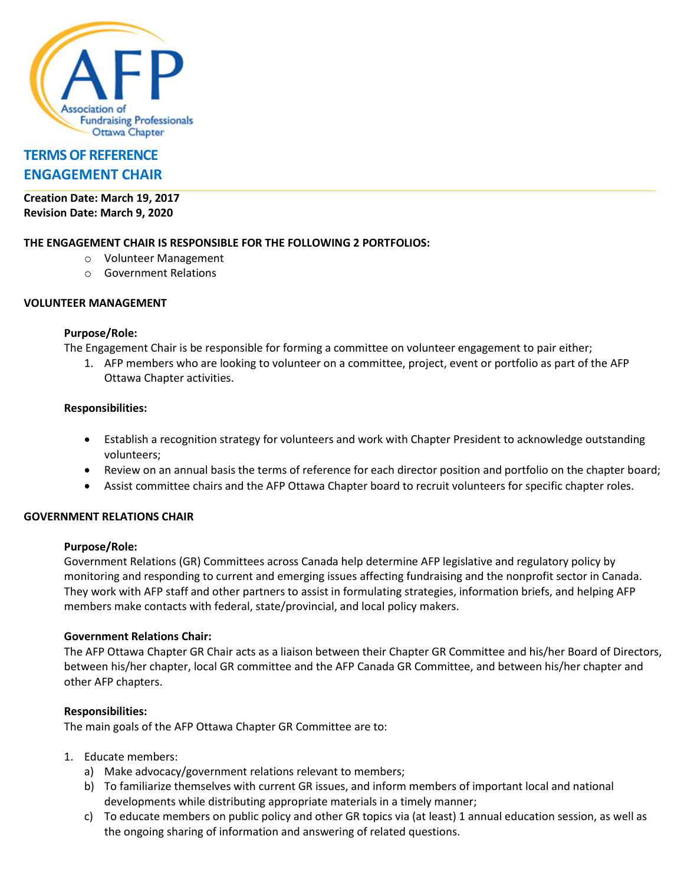

# **[TERMS OF REFERENCE](http://maps.google.ca/maps?q=1485+Laperriere+Avenue,+Ottawa,+Ontario&hl=en&sll=45.398149,-75.737819&sspn=0.008784,0.01929&vpsrc=0&hnear=1485+Laperriere+Ave,+Ottawa,+Ontario+K1Z+7S8&t=m&z=16) ENGAGEMENT CHAIR**

**Creation Date: March 19, 2017 Revision Date: March 9, 2020**

## **THE ENGAGEMENT CHAIR IS RESPONSIBLE FOR THE FOLLOWING 2 PORTFOLIOS:**

- o Volunteer Management
- o Government Relations

## **VOLUNTEER MANAGEMENT**

## **Purpose/Role:**

The Engagement Chair is be responsible for forming a committee on volunteer engagement to pair either;

1. AFP members who are looking to volunteer on a committee, project, event or portfolio as part of the AFP Ottawa Chapter activities.

## **Responsibilities:**

- Establish a recognition strategy for volunteers and work with Chapter President to acknowledge outstanding volunteers;
- Review on an annual basis the terms of reference for each director position and portfolio on the chapter board;
- Assist committee chairs and the AFP Ottawa Chapter board to recruit volunteers for specific chapter roles.

## **GOVERNMENT RELATIONS CHAIR**

## **Purpose/Role:**

Government Relations (GR) Committees across Canada help determine AFP legislative and regulatory policy by monitoring and responding to current and emerging issues affecting fundraising and the nonprofit sector in Canada. They work with AFP staff and other partners to assist in formulating strategies, information briefs, and helping AFP members make contacts with federal, state/provincial, and local policy makers.

## **Government Relations Chair:**

The AFP Ottawa Chapter GR Chair acts as a liaison between their Chapter GR Committee and his/her Board of Directors, between his/her chapter, local GR committee and the AFP Canada GR Committee, and between his/her chapter and other AFP chapters.

## **Responsibilities:**

The main goals of the AFP Ottawa Chapter GR Committee are to:

- 1. Educate members:
	- a) Make advocacy/government relations relevant to members;
	- b) To familiarize themselves with current GR issues, and inform members of important local and national developments while distributing appropriate materials in a timely manner;
	- c) To educate members on public policy and other GR topics via (at least) 1 annual education session, as well as the ongoing sharing of information and answering of related questions.